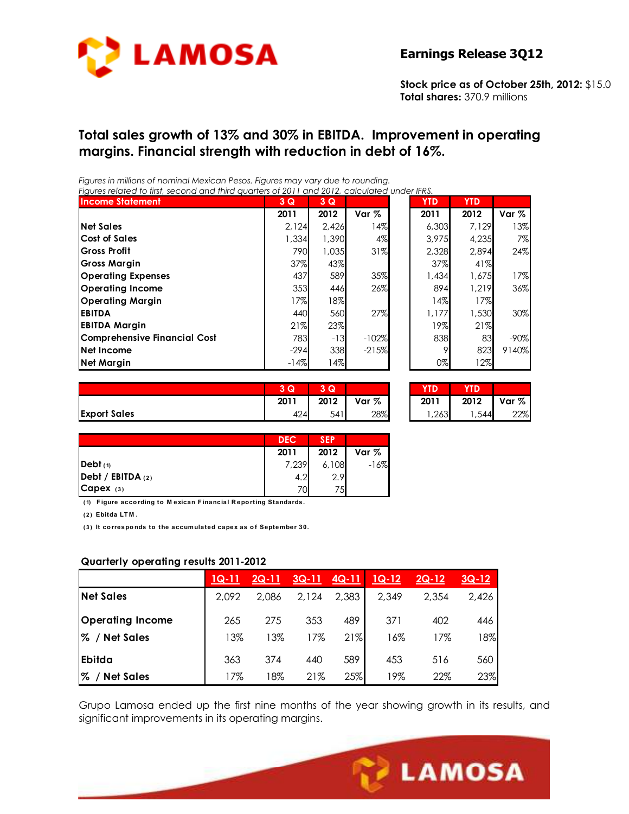

**Stock price as of October 25th, 2012:** \$15.0 **Total shares:** 370.9 millions

## **Total sales growth of 13% and 30% in EBITDA. Improvement in operating margins. Financial strength with reduction in debt of 16%.**

*Figures in millions of nominal Mexican Pesos. Figures may vary due to rounding. Figures related to first, second and third quarters of 2011 and 2012, calculated under IFRS.* 

| ngores related to may, second and milia goancis or zo i i and zo iz, calcolated onder into.<br><b>Income Statement</b> | 3Q     | 3Q    |         | <b>YTD</b> | <b>YTD</b> |         |
|------------------------------------------------------------------------------------------------------------------------|--------|-------|---------|------------|------------|---------|
|                                                                                                                        | 2011   | 2012  | Var %   | 2011       | 2012       | Var %   |
| <b>Net Sales</b>                                                                                                       | 2,124  | 2,426 | 14%     | 6,303      | 7.129      | 13%     |
| <b>Cost of Sales</b>                                                                                                   | 1,334  | 1,390 | 4%      | 3.975      | 4,235      | 7%I     |
| <b>Gross Profit</b>                                                                                                    | 790    | 1.035 | 31%     | 2,328      | 2.894      | 24%     |
| <b>Gross Margin</b>                                                                                                    | 37%    | 43%   |         | 37%        | 41%        |         |
| <b>Operating Expenses</b>                                                                                              | 437    | 589   | 35%     | 1,434      | 1.675      | 17%     |
| Operating Income                                                                                                       | 353    | 446   | 26%     | 894        | 1,219      | 36%     |
| Operating Margin                                                                                                       | 17%    | 18%   |         | 14%        | 17%        |         |
| <b>EBITDA</b>                                                                                                          | 440    | 560   | 27%     | 1,177      | 1,530      | 30%     |
| <b>EBITDA Margin</b>                                                                                                   | 21%    | 23%   |         | 19%        | 21%        |         |
| <b>Comprehensive Financial Cost</b>                                                                                    | 783    | $-13$ | $-102%$ | 838        | 83         | $-90\%$ |
| Net Income                                                                                                             | $-294$ | 338   | $-215%$ | 9          | 823        | 9140%   |
| <b>Net Margin</b>                                                                                                      | $-14%$ | 14%   |         | $0\%$      | 12%        |         |

|                     | 3 Q  | ∍<br>Q |       | YTD. | YTD  |       |
|---------------------|------|--------|-------|------|------|-------|
|                     | 2011 | 2012   | Var % | 2011 | 2012 | Var % |
| <b>Export Sales</b> | 424  | 541    | 28%   | ,263 | ,544 | 22%   |

| YID   | YTD   |       |
|-------|-------|-------|
| 2011  | 2012  | Var % |
| 1,263 | 1,544 | 22%   |

|                             | <b>DEC</b> | <b>SEP</b> |        |
|-----------------------------|------------|------------|--------|
|                             | 2011       | 2012       | Var %  |
| Debt(1)                     | 7,239      | 6,108      | $-16%$ |
| $\vert$ Debt / EBITDA $(2)$ | 4.2        | 2.9        |        |
| $Capex$ (3)                 | 70         | 75         |        |

**( 1) F igure acco rding to M exican F inancial R epo rting Standards.**

**( 2 ) Ebitda LT M .**

**( 3 ) It co rrespo nds to the accumulated capex as o f September 30.**

#### **Quarterly operating results 2011-2012**

|                         | $1Q-11$ | $2Q-11$ | $3Q-11$ | $4Q-11$ | $1Q-12$ | $2Q-12$ | $3Q-12$ |
|-------------------------|---------|---------|---------|---------|---------|---------|---------|
| <b>Net Sales</b>        | 2,092   | 2.086   | 2,124   | 2,383   | 2,349   | 2,354   | 2,426   |
| <b>Operating Income</b> | 265     | 275     | 353     | 489     | 371     | 402     | 446     |
| % / Net Sales           | 13%     | 13%     | 17%     | 21%     | 16%     | 17%     | 18%     |
| <b>Ebitda</b>           | 363     | 374     | 440     | 589     | 453     | 516     | 560     |
| % / Net Sales           | 17%     | 18%     | 21%     | 25%     | 19%     | 22%     | 23%     |

Grupo Lamosa ended up the first nine months of the year showing growth in its results, and significant improvements in its operating margins.

Ī

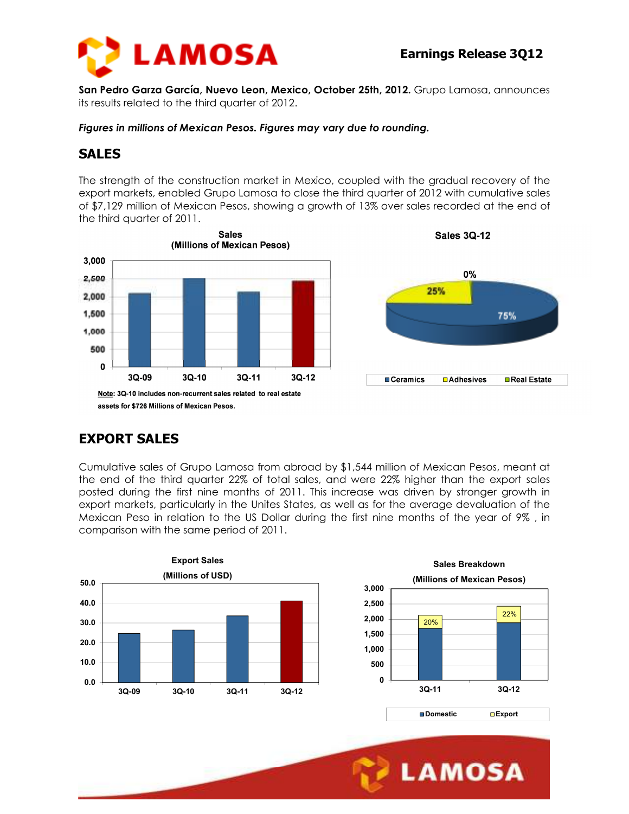

**San Pedro Garza García, Nuevo Leon, Mexico, October 25th, 2012.** Grupo Lamosa, announces its results related to the third quarter of 2012.

*Figures in millions of Mexican Pesos. Figures may vary due to rounding.* 

## **SALES**

The strength of the construction market in Mexico, coupled with the gradual recovery of the export markets, enabled Grupo Lamosa to close the third quarter of 2012 with cumulative sales of \$7,129 million of Mexican Pesos, showing a growth of 13% over sales recorded at the end of the third quarter of 2011.



assets for \$726 Millions of Mexican Pesos.

## **EXPORT SALES**

Cumulative sales of Grupo Lamosa from abroad by \$1,544 million of Mexican Pesos, meant at the end of the third quarter 22% of total sales, and were 22% higher than the export sales posted during the first nine months of 2011. This increase was driven by stronger growth in export markets, particularly in the Unites States, as well as for the average devaluation of the Mexican Peso in relation to the US Dollar during the first nine months of the year of 9% , in comparison with the same period of 2011.

Ī





**LAMOSA**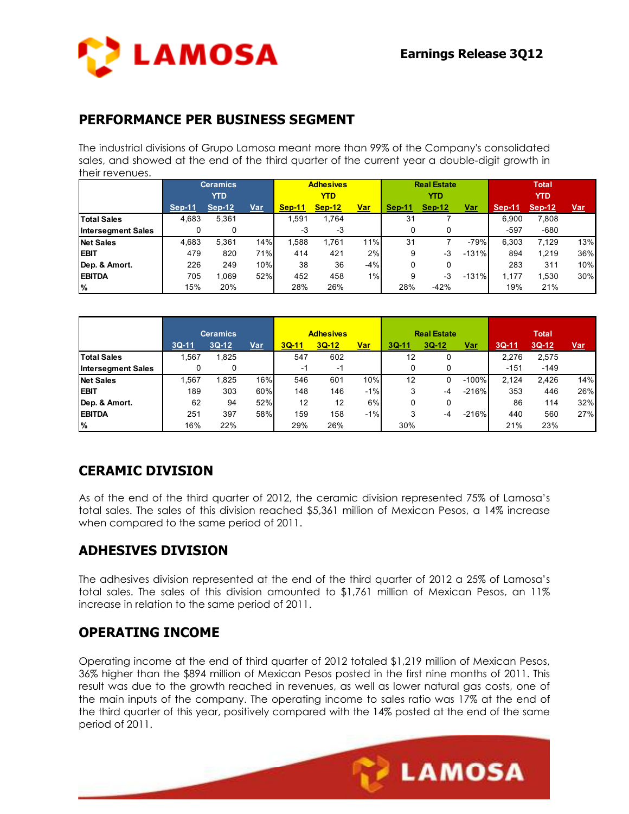

#### **PERFORMANCE PER BUSINESS SEGMENT**

The industrial divisions of Grupo Lamosa meant more than 99% of the Company's consolidated sales, and showed at the end of the third quarter of the current year a double-digit growth in their revenues.

|                           | <b>Ceramics</b> |          |     | <b>Adhesives</b> |               |            |        | <b>Real Estate</b> |            | <b>Total</b>  |               |            |
|---------------------------|-----------------|----------|-----|------------------|---------------|------------|--------|--------------------|------------|---------------|---------------|------------|
|                           | <b>YTD</b>      |          |     | YTD              |               |            |        | YTD                |            | <b>YTD</b>    |               |            |
|                           | Sep-11          | $Sep-12$ | Var | Sep-11           | <b>Sep-12</b> | <u>Var</u> | Sep-11 | $Sep-12$           | <u>Var</u> | <b>Sep-11</b> | <b>Sep-12</b> | <u>Var</u> |
| <b>Total Sales</b>        | 4,683           | 5,361    |     | .591             | 1.764         |            | 31     |                    |            | 6.900         | 7,808         |            |
| <b>Intersegment Sales</b> |                 | 0        |     | -3               | -3            |            | 0      |                    |            | $-597$        | $-680$        |            |
| <b>Net Sales</b>          | 4,683           | 5.361    | 14% | .588             | 1.761         | 11%        | 31     |                    | $-79%$     | 6.303         | 7,129         | 13%        |
| <b>EBIT</b>               | 479             | 820      | 71% | 414              | 421           | 2%         | 9      | -3                 | $-131%$    | 894           | 1,219         | 36%        |
| Dep. & Amort.             | 226             | 249      | 10% | 38               | 36            | $-4%$      | 0      |                    |            | 283           | 311           | 10%        |
| <b>EBITDA</b>             | 705             | .069     | 52% | 452              | 458           | 1%         | 9      | -3                 | $-131%$    | 1.177         | 1,530         | 30%        |
| $\frac{9}{6}$             | 15%             | 20%      |     | 28%              | 26%           |            | 28%    | $-42%$             |            | 19%           | 21%           |            |

|                           | <b>Ceramics</b> |         |     | <b>Adhesives</b> |         |            |       | <b>Real Estate</b> |            | <b>Total</b> |         |            |
|---------------------------|-----------------|---------|-----|------------------|---------|------------|-------|--------------------|------------|--------------|---------|------------|
|                           | $3Q-11$         | $3Q-12$ | Var | $3Q-11$          | $3Q-12$ | <u>Var</u> | 3Q-11 | $3Q-12$            | <u>Var</u> | $3Q-11$      | $3Q-12$ | <u>Var</u> |
| <b>Total Sales</b>        | .567            | 1,825   |     | 547              | 602     |            | 12    |                    |            | 2.276        | 2,575   |            |
| <b>Intersegment Sales</b> |                 | 0       |     | -1               | -1      |            | 0     |                    |            | $-151$       | $-149$  |            |
| <b>Net Sales</b>          | .567            | .825    | 16% | 546              | 601     | 10%        | 12    |                    | $-100\%$   | 2.124        | 2.426   | 14%        |
| <b>EBIT</b>               | 189             | 303     | 60% | 148              | 146     | $-1%$      | 3     | -4                 | $-216\%$   | 353          | 446     | 26%        |
| Dep. & Amort.             | 62              | 94      | 52% | 12               | 12      | 6%         | 0     | 0                  |            | 86           | 114     | 32%        |
| <b>EBITDA</b>             | 251             | 397     | 58% | 159              | 158     | $-1%$      | 3     | -4                 | $-216\%$   | 440          | 560     | 27%        |
| $\frac{9}{6}$             | 16%             | 22%     |     | 29%              | 26%     |            | 30%   |                    |            | 21%          | 23%     |            |

# **CERAMIC DIVISION**

As of the end of the third quarter of 2012, the ceramic division represented 75% of Lamosa's total sales. The sales of this division reached \$5,361 million of Mexican Pesos, a 14% increase when compared to the same period of 2011.

## **ADHESIVES DIVISION**

The adhesives division represented at the end of the third quarter of 2012 a 25% of Lamosa's total sales. The sales of this division amounted to \$1,761 million of Mexican Pesos, an 11% increase in relation to the same period of 2011.

#### **OPERATING INCOME**

Operating income at the end of third quarter of 2012 totaled \$1,219 million of Mexican Pesos, 36% higher than the \$894 million of Mexican Pesos posted in the first nine months of 2011. This result was due to the growth reached in revenues, as well as lower natural gas costs, one of the main inputs of the company. The operating income to sales ratio was 17% at the end of the third quarter of this year, positively compared with the 14% posted at the end of the same period of 2011.

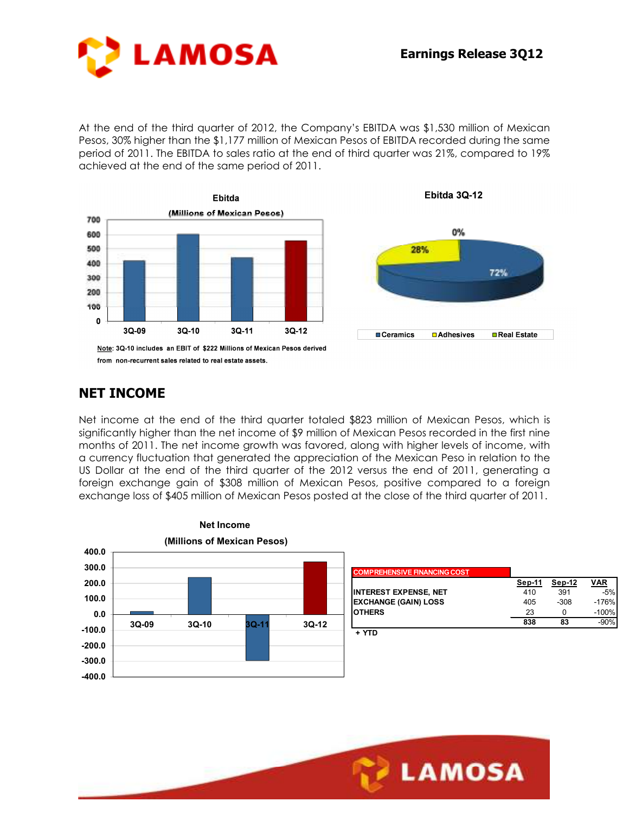

At the end of the third quarter of 2012, the Company's EBITDA was \$1,530 million of Mexican Pesos, 30% higher than the \$1,177 million of Mexican Pesos of EBITDA recorded during the same period of 2011. The EBITDA to sales ratio at the end of third quarter was 21%, compared to 19% achieved at the end of the same period of 2011.





Ebitda 3Q-12

### **NET INCOME**

Net income at the end of the third quarter totaled \$823 million of Mexican Pesos, which is significantly higher than the net income of \$9 million of Mexican Pesos recorded in the first nine months of 2011. The net income growth was favored, along with higher levels of income, with a currency fluctuation that generated the appreciation of the Mexican Peso in relation to the US Dollar at the end of the third quarter of the 2012 versus the end of 2011, generating a foreign exchange gain of \$308 million of Mexican Pesos, positive compared to a foreign exchange loss of \$405 million of Mexican Pesos posted at the close of the third quarter of 2011.

Ī